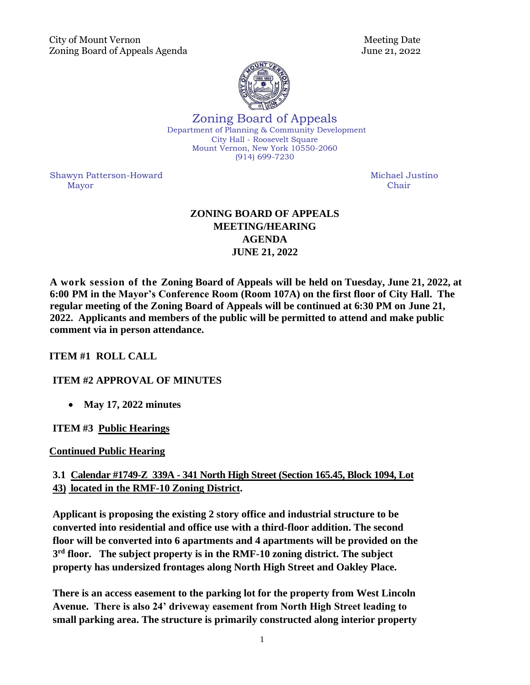

Zoning Board of Appeals Department of Planning & Community Development City Hall - Roosevelt Square Mount Vernon, New York 10550-2060 (914) 699-7230

Shawyn Patterson-Howard **Michael Justino** Michael Justino Mayor Chair

# **ZONING BOARD OF APPEALS MEETING/HEARING AGENDA JUNE 21, 2022**

**A work session of the Zoning Board of Appeals will be held on Tuesday, June 21, 2022, at 6:00 PM in the Mayor's Conference Room (Room 107A) on the first floor of City Hall. [The](https://zoom.us/)  [regular meeting of the Zoning Board of Appeals will be continued at 6:30 PM on June 21,](https://zoom.us/)  [2022. Applicants and members of the public will be permitted to](https://zoom.us/) attend and make public comment via [in person attendance.](https://zoom.us/)** 

## **ITEM #1 ROLL CALL**

## **ITEM #2 APPROVAL OF MINUTES**

• **May 17, 2022 minutes**

## **ITEM #3 Public Hearings**

## **Continued Public Hearing**

## **3.1 Calendar #1749-Z 339A - 341 North High Street (Section 165.45, Block 1094, Lot 43) located in the RMF-10 Zoning District.**

**Applicant is proposing the existing 2 story office and industrial structure to be converted into residential and office use with a third-floor addition. The second floor will be converted into 6 apartments and 4 apartments will be provided on the 3 rd floor. The subject property is in the RMF-10 zoning district. The subject property has undersized frontages along North High Street and Oakley Place.** 

**There is an access easement to the parking lot for the property from West Lincoln Avenue. There is also 24' driveway easement from North High Street leading to small parking area. The structure is primarily constructed along interior property**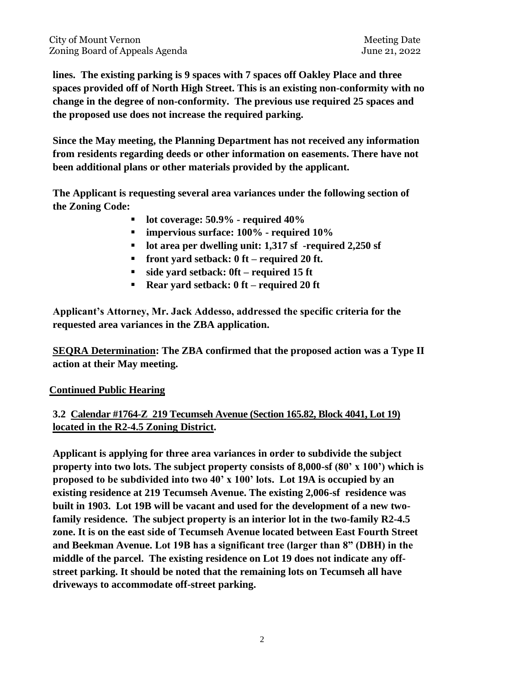**lines. The existing parking is 9 spaces with 7 spaces off Oakley Place and three spaces provided off of North High Street. This is an existing non-conformity with no change in the degree of non-conformity. The previous use required 25 spaces and the proposed use does not increase the required parking.** 

**Since the May meeting, the Planning Department has not received any information from residents regarding deeds or other information on easements. There have not been additional plans or other materials provided by the applicant.** 

**The Applicant is requesting several area variances under the following section of the Zoning Code:**

- **lot coverage: 50.9% - required 40%**
- **impervious surface: 100% - required 10%**
- **lot area per dwelling unit: 1,317 sf -required 2,250 sf**
- **front yard setback: 0 ft – required 20 ft.**
- **side yard setback: 0ft – required 15 ft**
- **Rear yard setback: 0 ft – required 20 ft**

**Applicant's Attorney, Mr. Jack Addesso, addressed the specific criteria for the requested area variances in the ZBA application.** 

**SEQRA Determination: The ZBA confirmed that the proposed action was a Type II action at their May meeting.** 

## **Continued Public Hearing**

## **3.2 Calendar #1764-Z 219 Tecumseh Avenue (Section 165.82, Block 4041, Lot 19) located in the R2-4.5 Zoning District.**

**Applicant is applying for three area variances in order to subdivide the subject property into two lots. The subject property consists of 8,000-sf (80' x 100') which is proposed to be subdivided into two 40' x 100' lots. Lot 19A is occupied by an existing residence at 219 Tecumseh Avenue. The existing 2,006-sf residence was built in 1903. Lot 19B will be vacant and used for the development of a new twofamily residence. The subject property is an interior lot in the two-family R2-4.5 zone. It is on the east side of Tecumseh Avenue located between East Fourth Street and Beekman Avenue. Lot 19B has a significant tree (larger than 8" (DBH) in the middle of the parcel. The existing residence on Lot 19 does not indicate any offstreet parking. It should be noted that the remaining lots on Tecumseh all have driveways to accommodate off-street parking.**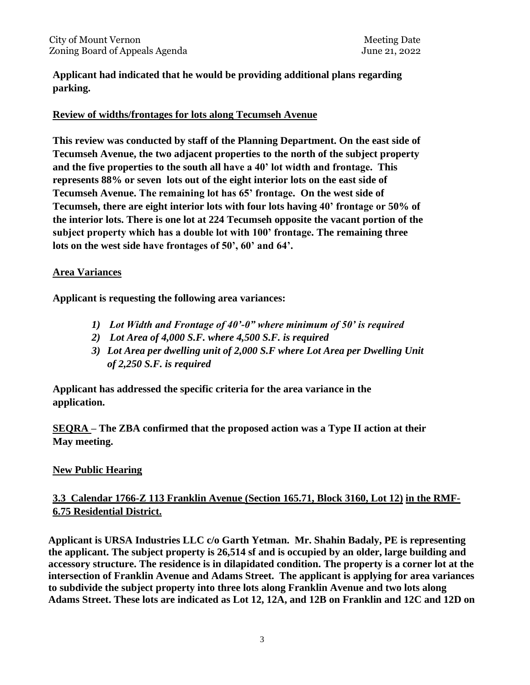**Applicant had indicated that he would be providing additional plans regarding parking.** 

#### **Review of widths/frontages for lots along Tecumseh Avenue**

**This review was conducted by staff of the Planning Department. On the east side of Tecumseh Avenue, the two adjacent properties to the north of the subject property and the five properties to the south all have a 40' lot width and frontage. This represents 88% or seven lots out of the eight interior lots on the east side of Tecumseh Avenue. The remaining lot has 65' frontage. On the west side of Tecumseh, there are eight interior lots with four lots having 40' frontage or 50% of the interior lots. There is one lot at 224 Tecumseh opposite the vacant portion of the subject property which has a double lot with 100' frontage. The remaining three lots on the west side have frontages of 50', 60' and 64'.** 

#### **Area Variances**

**Applicant is requesting the following area variances:**

- *1) Lot Width and Frontage of 40'-0" where minimum of 50' is required*
- *2) Lot Area of 4,000 S.F. where 4,500 S.F. is required*
- *3) Lot Area per dwelling unit of 2,000 S.F where Lot Area per Dwelling Unit of 2,250 S.F. is required*

**Applicant has addressed the specific criteria for the area variance in the application.** 

**SEQRA – The ZBA confirmed that the proposed action was a Type II action at their May meeting.** 

## **New Public Hearing**

## **3.3 Calendar 1766-Z 113 Franklin Avenue (Section 165.71, Block 3160, Lot 12) in the RMF-6.75 Residential District.**

**Applicant is URSA Industries LLC c/o Garth Yetman. Mr. Shahin Badaly, PE is representing the applicant. The subject property is 26,514 sf and is occupied by an older, large building and accessory structure. The residence is in dilapidated condition. The property is a corner lot at the intersection of Franklin Avenue and Adams Street. The applicant is applying for area variances to subdivide the subject property into three lots along Franklin Avenue and two lots along Adams Street. These lots are indicated as Lot 12, 12A, and 12B on Franklin and 12C and 12D on**